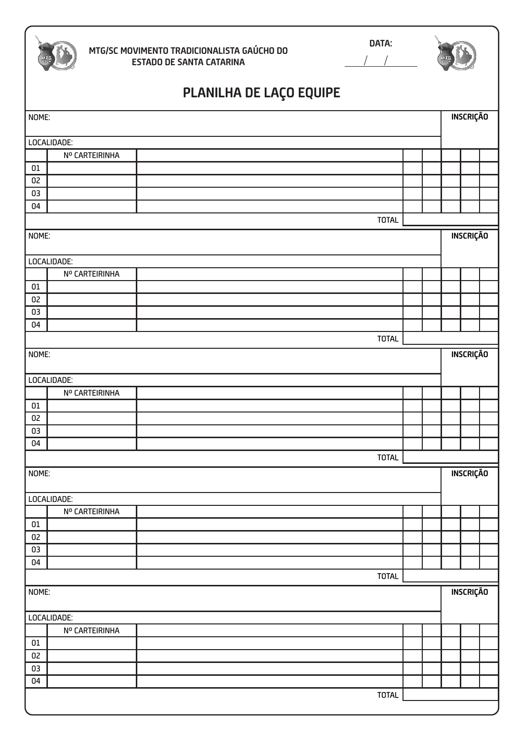|              | MTG/SC MOVIMENTO TRADICIONALISTA GAÚCHO DO<br><b>ESTADO DE SANTA CATARINA</b> | DATA:        |                  |  |
|--------------|-------------------------------------------------------------------------------|--------------|------------------|--|
|              | PLANILHA DE LAÇO EQUIPE                                                       |              |                  |  |
| NOME:        |                                                                               |              | INSCRIÇÃO        |  |
|              | LOCALIDADE:                                                                   |              |                  |  |
|              | Nº CARTEIRINHA                                                                |              |                  |  |
| $01\,$       |                                                                               |              |                  |  |
| 02           |                                                                               |              |                  |  |
| 03           |                                                                               |              |                  |  |
| 04           |                                                                               |              |                  |  |
|              |                                                                               | <b>TOTAL</b> |                  |  |
| NOME:        |                                                                               |              | INSCRIÇÃO        |  |
|              | LOCALIDADE:                                                                   |              |                  |  |
|              | Nº CARTEIRINHA                                                                |              |                  |  |
| $01\,$       |                                                                               |              |                  |  |
| 02           |                                                                               |              |                  |  |
| 03           |                                                                               |              |                  |  |
| 04           |                                                                               |              |                  |  |
|              |                                                                               | <b>TOTAL</b> |                  |  |
| NOME:        | LOCALIDADE:                                                                   |              | INSCRIÇÃO        |  |
|              | Nº CARTEIRINHA                                                                |              |                  |  |
| $01\,$       |                                                                               |              |                  |  |
| 02           |                                                                               |              |                  |  |
| 03           |                                                                               |              |                  |  |
| 04           |                                                                               |              |                  |  |
|              |                                                                               | <b>TOTAL</b> |                  |  |
| NOME:        |                                                                               |              | <b>INSCRIÇÃO</b> |  |
|              | LOCALIDADE:                                                                   |              |                  |  |
|              | Nº CARTEIRINHA                                                                |              |                  |  |
| $01\,$<br>02 |                                                                               |              |                  |  |
| 03           |                                                                               |              |                  |  |
| 04           |                                                                               |              |                  |  |
|              |                                                                               | <b>TOTAL</b> |                  |  |
| NOME:        |                                                                               |              | <b>INSCRIÇÃO</b> |  |
|              | LOCALIDADE:                                                                   |              |                  |  |
|              | Nº CARTEIRINHA                                                                |              |                  |  |
| $01\,$       |                                                                               |              |                  |  |
| 02           |                                                                               |              |                  |  |
| 03           |                                                                               |              |                  |  |
| 04           |                                                                               |              |                  |  |
|              |                                                                               | <b>TOTAL</b> |                  |  |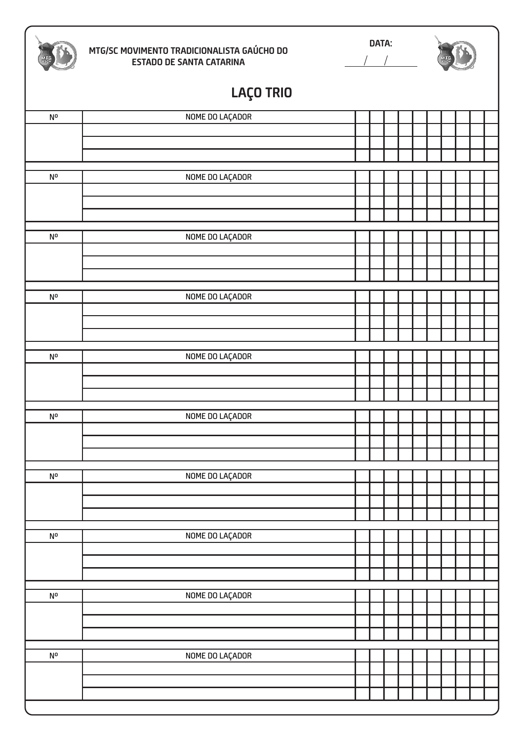|                         | MTG/SC MOVIMENTO TRADICIONALISTA GAÚCHO DO<br><b>ESTADO DE SANTA CATARINA</b> | DATA: |  |  |  |  |  |  |  |  |
|-------------------------|-------------------------------------------------------------------------------|-------|--|--|--|--|--|--|--|--|
|                         | LAÇO TRIO                                                                     |       |  |  |  |  |  |  |  |  |
| N <sup>o</sup>          | NOME DO LAÇADOR                                                               |       |  |  |  |  |  |  |  |  |
|                         |                                                                               |       |  |  |  |  |  |  |  |  |
|                         |                                                                               |       |  |  |  |  |  |  |  |  |
| N°                      | NOME DO LAÇADOR                                                               |       |  |  |  |  |  |  |  |  |
|                         |                                                                               |       |  |  |  |  |  |  |  |  |
|                         |                                                                               |       |  |  |  |  |  |  |  |  |
|                         |                                                                               |       |  |  |  |  |  |  |  |  |
| $\mathsf{N}^\mathsf{o}$ | NOME DO LAÇADOR                                                               |       |  |  |  |  |  |  |  |  |
|                         |                                                                               |       |  |  |  |  |  |  |  |  |
|                         |                                                                               |       |  |  |  |  |  |  |  |  |
| N <sup>o</sup>          | NOME DO LAÇADOR                                                               |       |  |  |  |  |  |  |  |  |
|                         |                                                                               |       |  |  |  |  |  |  |  |  |
|                         |                                                                               |       |  |  |  |  |  |  |  |  |
|                         |                                                                               |       |  |  |  |  |  |  |  |  |
| N°                      | NOME DO LAÇADOR                                                               |       |  |  |  |  |  |  |  |  |
|                         |                                                                               |       |  |  |  |  |  |  |  |  |
|                         |                                                                               |       |  |  |  |  |  |  |  |  |
| $\mathsf{N}^\mathsf{o}$ | NOME DO LAÇADOR                                                               |       |  |  |  |  |  |  |  |  |
|                         |                                                                               |       |  |  |  |  |  |  |  |  |
|                         |                                                                               |       |  |  |  |  |  |  |  |  |
| N <sup>o</sup>          | NOME DO LAÇADOR                                                               |       |  |  |  |  |  |  |  |  |
|                         |                                                                               |       |  |  |  |  |  |  |  |  |
|                         |                                                                               |       |  |  |  |  |  |  |  |  |
|                         |                                                                               |       |  |  |  |  |  |  |  |  |
| N°                      | NOME DO LAÇADOR                                                               |       |  |  |  |  |  |  |  |  |
|                         |                                                                               |       |  |  |  |  |  |  |  |  |
|                         |                                                                               |       |  |  |  |  |  |  |  |  |
| $\mathsf{N}^\mathsf{o}$ | NOME DO LAÇADOR                                                               |       |  |  |  |  |  |  |  |  |
|                         |                                                                               |       |  |  |  |  |  |  |  |  |
|                         |                                                                               |       |  |  |  |  |  |  |  |  |
|                         |                                                                               |       |  |  |  |  |  |  |  |  |
| N°                      | NOME DO LAÇADOR                                                               |       |  |  |  |  |  |  |  |  |
|                         |                                                                               |       |  |  |  |  |  |  |  |  |
|                         |                                                                               |       |  |  |  |  |  |  |  |  |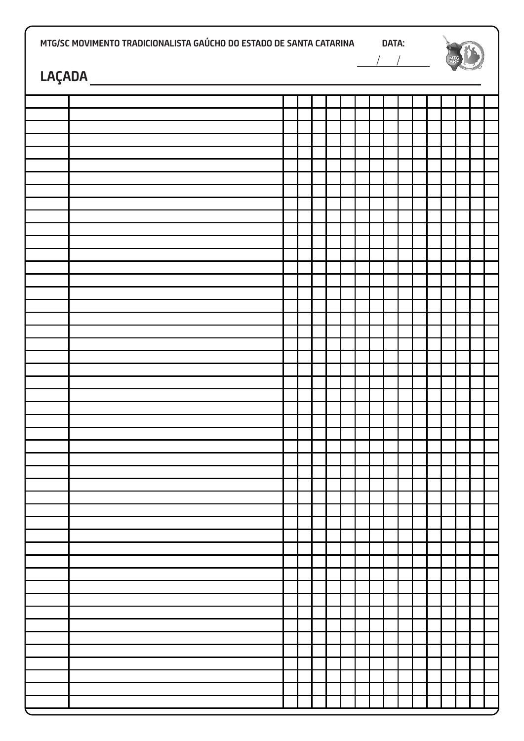| MTG/SC MOVIMENTO TRADICIONALISTA GAÚCHO DO ESTADO DE SANTA CATARINA<br>$\begin{picture}(18,10) \put(0,0){\vector(1,0){100}} \put(15,0){\vector(1,0){100}} \put(15,0){\vector(1,0){100}} \put(15,0){\vector(1,0){100}} \put(15,0){\vector(1,0){100}} \put(15,0){\vector(1,0){100}} \put(15,0){\vector(1,0){100}} \put(15,0){\vector(1,0){100}} \put(15,0){\vector(1,0){100}} \put(15,0){\vector(1,0){100}} \put(15,0){\vector(1,0){100}} \$ |  |  |  |  |  | DATA:<br>$\frac{1}{2}$ |  |  |  |  |  |  |  |  |  |  |
|--------------------------------------------------------------------------------------------------------------------------------------------------------------------------------------------------------------------------------------------------------------------------------------------------------------------------------------------------------------------------------------------------------------------------------------------|--|--|--|--|--|------------------------|--|--|--|--|--|--|--|--|--|--|
|                                                                                                                                                                                                                                                                                                                                                                                                                                            |  |  |  |  |  |                        |  |  |  |  |  |  |  |  |  |  |
|                                                                                                                                                                                                                                                                                                                                                                                                                                            |  |  |  |  |  |                        |  |  |  |  |  |  |  |  |  |  |
|                                                                                                                                                                                                                                                                                                                                                                                                                                            |  |  |  |  |  |                        |  |  |  |  |  |  |  |  |  |  |
|                                                                                                                                                                                                                                                                                                                                                                                                                                            |  |  |  |  |  |                        |  |  |  |  |  |  |  |  |  |  |
|                                                                                                                                                                                                                                                                                                                                                                                                                                            |  |  |  |  |  |                        |  |  |  |  |  |  |  |  |  |  |
|                                                                                                                                                                                                                                                                                                                                                                                                                                            |  |  |  |  |  |                        |  |  |  |  |  |  |  |  |  |  |
|                                                                                                                                                                                                                                                                                                                                                                                                                                            |  |  |  |  |  |                        |  |  |  |  |  |  |  |  |  |  |
|                                                                                                                                                                                                                                                                                                                                                                                                                                            |  |  |  |  |  |                        |  |  |  |  |  |  |  |  |  |  |
|                                                                                                                                                                                                                                                                                                                                                                                                                                            |  |  |  |  |  |                        |  |  |  |  |  |  |  |  |  |  |
|                                                                                                                                                                                                                                                                                                                                                                                                                                            |  |  |  |  |  |                        |  |  |  |  |  |  |  |  |  |  |
|                                                                                                                                                                                                                                                                                                                                                                                                                                            |  |  |  |  |  |                        |  |  |  |  |  |  |  |  |  |  |
|                                                                                                                                                                                                                                                                                                                                                                                                                                            |  |  |  |  |  |                        |  |  |  |  |  |  |  |  |  |  |
|                                                                                                                                                                                                                                                                                                                                                                                                                                            |  |  |  |  |  |                        |  |  |  |  |  |  |  |  |  |  |
|                                                                                                                                                                                                                                                                                                                                                                                                                                            |  |  |  |  |  |                        |  |  |  |  |  |  |  |  |  |  |
|                                                                                                                                                                                                                                                                                                                                                                                                                                            |  |  |  |  |  |                        |  |  |  |  |  |  |  |  |  |  |
|                                                                                                                                                                                                                                                                                                                                                                                                                                            |  |  |  |  |  |                        |  |  |  |  |  |  |  |  |  |  |
|                                                                                                                                                                                                                                                                                                                                                                                                                                            |  |  |  |  |  |                        |  |  |  |  |  |  |  |  |  |  |
|                                                                                                                                                                                                                                                                                                                                                                                                                                            |  |  |  |  |  |                        |  |  |  |  |  |  |  |  |  |  |
|                                                                                                                                                                                                                                                                                                                                                                                                                                            |  |  |  |  |  |                        |  |  |  |  |  |  |  |  |  |  |
|                                                                                                                                                                                                                                                                                                                                                                                                                                            |  |  |  |  |  |                        |  |  |  |  |  |  |  |  |  |  |
|                                                                                                                                                                                                                                                                                                                                                                                                                                            |  |  |  |  |  |                        |  |  |  |  |  |  |  |  |  |  |
|                                                                                                                                                                                                                                                                                                                                                                                                                                            |  |  |  |  |  |                        |  |  |  |  |  |  |  |  |  |  |
|                                                                                                                                                                                                                                                                                                                                                                                                                                            |  |  |  |  |  |                        |  |  |  |  |  |  |  |  |  |  |
|                                                                                                                                                                                                                                                                                                                                                                                                                                            |  |  |  |  |  |                        |  |  |  |  |  |  |  |  |  |  |
|                                                                                                                                                                                                                                                                                                                                                                                                                                            |  |  |  |  |  |                        |  |  |  |  |  |  |  |  |  |  |
|                                                                                                                                                                                                                                                                                                                                                                                                                                            |  |  |  |  |  |                        |  |  |  |  |  |  |  |  |  |  |
|                                                                                                                                                                                                                                                                                                                                                                                                                                            |  |  |  |  |  |                        |  |  |  |  |  |  |  |  |  |  |
|                                                                                                                                                                                                                                                                                                                                                                                                                                            |  |  |  |  |  |                        |  |  |  |  |  |  |  |  |  |  |
|                                                                                                                                                                                                                                                                                                                                                                                                                                            |  |  |  |  |  |                        |  |  |  |  |  |  |  |  |  |  |
|                                                                                                                                                                                                                                                                                                                                                                                                                                            |  |  |  |  |  |                        |  |  |  |  |  |  |  |  |  |  |
|                                                                                                                                                                                                                                                                                                                                                                                                                                            |  |  |  |  |  |                        |  |  |  |  |  |  |  |  |  |  |
|                                                                                                                                                                                                                                                                                                                                                                                                                                            |  |  |  |  |  |                        |  |  |  |  |  |  |  |  |  |  |
|                                                                                                                                                                                                                                                                                                                                                                                                                                            |  |  |  |  |  |                        |  |  |  |  |  |  |  |  |  |  |
|                                                                                                                                                                                                                                                                                                                                                                                                                                            |  |  |  |  |  |                        |  |  |  |  |  |  |  |  |  |  |
|                                                                                                                                                                                                                                                                                                                                                                                                                                            |  |  |  |  |  |                        |  |  |  |  |  |  |  |  |  |  |
|                                                                                                                                                                                                                                                                                                                                                                                                                                            |  |  |  |  |  |                        |  |  |  |  |  |  |  |  |  |  |
|                                                                                                                                                                                                                                                                                                                                                                                                                                            |  |  |  |  |  |                        |  |  |  |  |  |  |  |  |  |  |
|                                                                                                                                                                                                                                                                                                                                                                                                                                            |  |  |  |  |  |                        |  |  |  |  |  |  |  |  |  |  |
|                                                                                                                                                                                                                                                                                                                                                                                                                                            |  |  |  |  |  |                        |  |  |  |  |  |  |  |  |  |  |
|                                                                                                                                                                                                                                                                                                                                                                                                                                            |  |  |  |  |  |                        |  |  |  |  |  |  |  |  |  |  |
|                                                                                                                                                                                                                                                                                                                                                                                                                                            |  |  |  |  |  |                        |  |  |  |  |  |  |  |  |  |  |
|                                                                                                                                                                                                                                                                                                                                                                                                                                            |  |  |  |  |  |                        |  |  |  |  |  |  |  |  |  |  |
|                                                                                                                                                                                                                                                                                                                                                                                                                                            |  |  |  |  |  |                        |  |  |  |  |  |  |  |  |  |  |
|                                                                                                                                                                                                                                                                                                                                                                                                                                            |  |  |  |  |  |                        |  |  |  |  |  |  |  |  |  |  |
|                                                                                                                                                                                                                                                                                                                                                                                                                                            |  |  |  |  |  |                        |  |  |  |  |  |  |  |  |  |  |
|                                                                                                                                                                                                                                                                                                                                                                                                                                            |  |  |  |  |  |                        |  |  |  |  |  |  |  |  |  |  |
|                                                                                                                                                                                                                                                                                                                                                                                                                                            |  |  |  |  |  |                        |  |  |  |  |  |  |  |  |  |  |
|                                                                                                                                                                                                                                                                                                                                                                                                                                            |  |  |  |  |  |                        |  |  |  |  |  |  |  |  |  |  |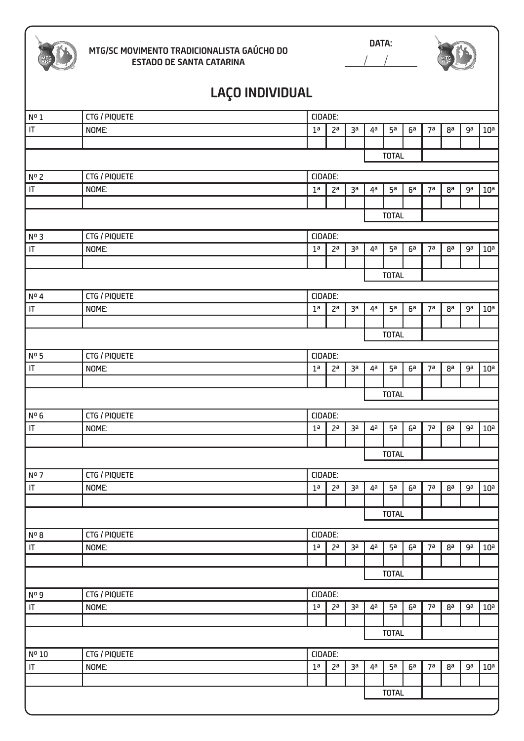

#### **MTG/SC MOVIMENTO TRADICIONALISTA GAÚCHO DO ESTADO DE SANTA CATARINA**

**DATA:**   $\overline{1}$  $\overline{1}$ 

# **LAÇO INDIVIDUAL**

| $\sqrt{N^0 1}$                    | CTG / PIQUETE | CIDADE:                                                                                                        |                |    |                |                |    |                |                |                 |                 |  |  |  |
|-----------------------------------|---------------|----------------------------------------------------------------------------------------------------------------|----------------|----|----------------|----------------|----|----------------|----------------|-----------------|-----------------|--|--|--|
| $\ensuremath{\mathsf{IT}}\xspace$ | NOME:         | 1 <sup>a</sup>                                                                                                 | 2a             | 3a | $4^a$          | 5 <sup>a</sup> | 6a | 7a             | 8a             | ga              | $10^a$          |  |  |  |
|                                   |               |                                                                                                                |                |    |                |                |    |                |                |                 |                 |  |  |  |
|                                   |               |                                                                                                                |                |    |                | <b>TOTAL</b>   |    |                |                |                 |                 |  |  |  |
| $\sqrt{N^{\circ}2}$               | CTG / PIQUETE | CIDADE:                                                                                                        |                |    |                |                |    |                |                |                 |                 |  |  |  |
| IT                                | NOME:         | 3a<br>5 <sup>a</sup><br>7a<br>ga<br>1 <sup>a</sup><br>2 <sup>a</sup><br>4 <sup>a</sup><br>6a<br>8 <sup>a</sup> |                |    |                |                |    |                |                | 10 <sup>a</sup> |                 |  |  |  |
|                                   |               |                                                                                                                |                |    |                |                |    |                |                |                 |                 |  |  |  |
|                                   |               |                                                                                                                |                |    |                | <b>TOTAL</b>   |    |                |                |                 |                 |  |  |  |
| $N0$ 3                            | CTG / PIQUETE | CIDADE:                                                                                                        |                |    |                |                |    |                |                |                 |                 |  |  |  |
| $\overline{\mathbb{F}}$           | NOME:         | 1 <sup>a</sup>                                                                                                 | 2 <sup>a</sup> | за | 4 <sup>a</sup> | 5 <sup>a</sup> | 6a | 7 <sup>a</sup> | 8 <sup>a</sup> | ga              | 10 <sup>a</sup> |  |  |  |
|                                   |               |                                                                                                                |                |    |                |                |    |                |                |                 |                 |  |  |  |
|                                   |               |                                                                                                                |                |    |                | <b>TOTAL</b>   |    |                |                |                 |                 |  |  |  |
| $\sqrt{N^{\circ} 4}$              | CTG / PIQUETE | CIDADE:                                                                                                        |                |    |                |                |    |                |                |                 |                 |  |  |  |
| $\sf IT$                          | NOME:         | 1 <sup>a</sup>                                                                                                 | 2 <sup>a</sup> | 3a | 4 <sup>a</sup> | 5 <sup>a</sup> | 6a | 7a             | 8a             | ga              | $10^a$          |  |  |  |
|                                   |               |                                                                                                                |                |    |                |                |    |                |                |                 |                 |  |  |  |
|                                   |               |                                                                                                                |                |    |                | <b>TOTAL</b>   |    |                |                |                 |                 |  |  |  |
| $\sqrt{N^{\circ}}$ 5              | CTG / PIQUETE | CIDADE:                                                                                                        |                |    |                |                |    |                |                |                 |                 |  |  |  |
| IT                                | NOME:         | 1 <sup>a</sup>                                                                                                 | 2 <sup>a</sup> | за | $4^a$          | 5 <sup>a</sup> | 6a | 7a             | 8 <sup>a</sup> | ga              | 10 <sup>a</sup> |  |  |  |
|                                   |               |                                                                                                                |                |    |                |                |    |                |                |                 |                 |  |  |  |
|                                   |               |                                                                                                                |                |    |                | <b>TOTAL</b>   |    |                |                |                 |                 |  |  |  |
| $N^0$ 6                           | CTG / PIQUETE | CIDADE:                                                                                                        |                |    |                |                |    |                |                |                 |                 |  |  |  |
| IT                                | NOME:         | 1 <sup>a</sup>                                                                                                 | 2 <sup>a</sup> | за | 4ª             | 5a             | 6a | 7a             | 8ª             | ga              | $10^{\rm a}$    |  |  |  |
|                                   |               |                                                                                                                |                |    |                |                |    |                |                |                 |                 |  |  |  |
|                                   |               |                                                                                                                |                |    |                | <b>TOTAL</b>   |    |                |                |                 |                 |  |  |  |
| $\sqrt{\frac{N^{\circ}}{2}}$      | CTG / PIQUETE | CIDADE:                                                                                                        |                |    |                |                |    |                |                |                 |                 |  |  |  |
| $\sqrt{11}$                       | NOME:         | 1 <sup>a</sup>                                                                                                 | 2 <sup>a</sup> | за | 4 <sup>a</sup> | 5 <sup>a</sup> | 6a | 7a             | 8 <sup>a</sup> | ga              | 10 <sup>a</sup> |  |  |  |
|                                   |               |                                                                                                                |                |    |                |                |    |                |                |                 |                 |  |  |  |
|                                   |               |                                                                                                                |                |    |                | <b>TOTAL</b>   |    |                |                |                 |                 |  |  |  |
| No 8                              | CTG / PIQUETE | CIDADE:                                                                                                        |                |    |                |                |    |                |                |                 |                 |  |  |  |
| $\ensuremath{\mathsf{IT}}\xspace$ | NOME:         | 1 <sup>a</sup>                                                                                                 | 2 <sup>a</sup> | 3a | 4a             | 5 <sup>a</sup> | 6a | 7a             | 8a             | ga              | 10 <sup>a</sup> |  |  |  |
|                                   |               |                                                                                                                |                |    |                |                |    |                |                |                 |                 |  |  |  |
|                                   |               |                                                                                                                | <b>TOTAL</b>   |    |                |                |    |                |                |                 |                 |  |  |  |
| $\sqrt{\frac{N^0}{2}}$            | CTG / PIQUETE | CIDADE:                                                                                                        |                |    |                |                |    |                |                |                 |                 |  |  |  |
| $\sf IT$                          | NOME:         | 1 <sup>a</sup>                                                                                                 | 2 <sup>a</sup> | за | 4a             | 5a             | 6a | 7a             | 8 <sup>a</sup> | ga              | $10^{\rm a}$    |  |  |  |
|                                   |               |                                                                                                                |                |    |                |                |    |                |                |                 |                 |  |  |  |
|                                   |               |                                                                                                                |                |    |                | <b>TOTAL</b>   |    |                |                |                 |                 |  |  |  |
|                                   |               |                                                                                                                |                |    |                |                |    |                |                |                 |                 |  |  |  |
| Nº 10                             | CTG / PIQUETE | CIDADE:                                                                                                        |                |    |                |                |    |                |                |                 |                 |  |  |  |
| $\ensuremath{\mathsf{IT}}\xspace$ | NOME:         | 1 <sup>a</sup>                                                                                                 | 2 <sup>a</sup> | за | 4ª             | 5 <sup>a</sup> | 6a | 7a             | 8 <sup>a</sup> | ga              | 10 <sup>a</sup> |  |  |  |
|                                   |               |                                                                                                                |                |    |                |                |    |                |                |                 |                 |  |  |  |
|                                   |               |                                                                                                                |                |    |                | <b>TOTAL</b>   |    |                |                |                 |                 |  |  |  |
|                                   |               |                                                                                                                |                |    |                |                |    |                |                |                 |                 |  |  |  |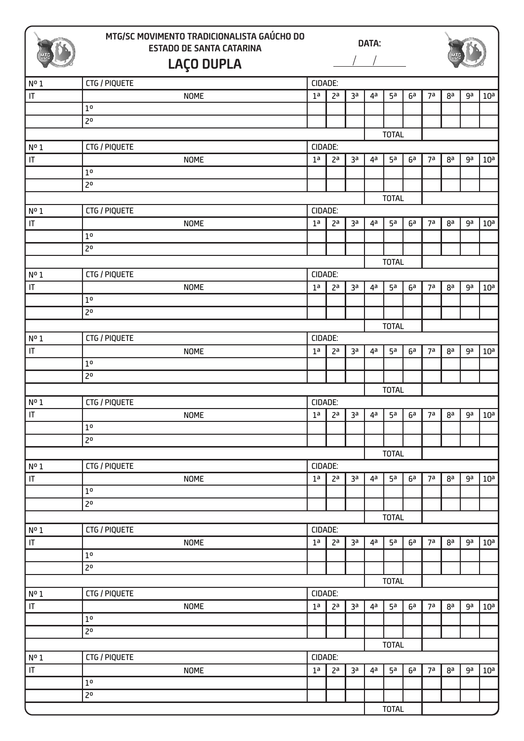

### **MTG/SC MOVIMENTO TRADICIONALISTA GAÚCHO DO ESTADO DE SANTA CATARINA DATA: LAÇO DUPLA**

| Nº1                               | CTG / PIQUETE    | CIDADE:        |                |    |                |                |    |                |                |    |                 |  |  |  |
|-----------------------------------|------------------|----------------|----------------|----|----------------|----------------|----|----------------|----------------|----|-----------------|--|--|--|
| $\ensuremath{\mathsf{IT}}\xspace$ | <b>NOME</b>      | 1 <sup>a</sup> | 2 <sup>a</sup> | за | 4 <sup>a</sup> | 5 <sup>a</sup> | 6a | 7a             | 8a             | ga | 10 <sup>a</sup> |  |  |  |
|                                   | $1^{\rm o}$      |                |                |    |                |                |    |                |                |    |                 |  |  |  |
|                                   | $\overline{2^0}$ |                |                |    |                |                |    |                |                |    |                 |  |  |  |
|                                   |                  |                |                |    |                | <b>TOTAL</b>   |    |                |                |    |                 |  |  |  |
| Nº1                               | CTG / PIQUETE    | CIDADE:        |                |    |                |                |    |                |                |    |                 |  |  |  |
| $ \mathsf{T} $                    | <b>NOME</b>      | 1 <sup>a</sup> | 2 <sup>a</sup> | за | $4^a$          | 5 <sup>a</sup> | 6a | 7a             | 8a             | ga | 10 <sup>a</sup> |  |  |  |
|                                   | $1^{\rm o}$      |                |                |    |                |                |    |                |                |    |                 |  |  |  |
|                                   | 2 <sup>o</sup>   |                |                |    |                |                |    |                |                |    |                 |  |  |  |
|                                   |                  |                |                |    |                | <b>TOTAL</b>   |    |                |                |    |                 |  |  |  |
| Nº1                               | CTG / PIQUETE    | CIDADE:        |                |    |                |                |    |                |                |    |                 |  |  |  |
| $\overline{\mathbb{F}}$           | <b>NOME</b>      | 1 <sup>a</sup> | 2a             | за | $4^a$          | 5 <sup>a</sup> | 6a | 7a             | 8a             | ga | 10 <sup>a</sup> |  |  |  |
|                                   | $1^{\rm o}$      |                |                |    |                |                |    |                |                |    |                 |  |  |  |
|                                   | 2 <sup>o</sup>   |                |                |    |                |                |    |                |                |    |                 |  |  |  |
|                                   |                  |                |                |    |                | <b>TOTAL</b>   |    |                |                |    |                 |  |  |  |
| Nº1                               | CTG / PIQUETE    | CIDADE:        |                |    |                |                |    |                |                |    |                 |  |  |  |
| $ \mathsf{T} $                    | <b>NOME</b>      | 1 <sup>a</sup> | 2a             | 3a | 4ª             | 5 <sup>a</sup> | 6a | 7 <sup>a</sup> | 8a             | ga | 10 <sup>a</sup> |  |  |  |
|                                   | $1^{\rm o}$      |                |                |    |                |                |    |                |                |    |                 |  |  |  |
|                                   | 2 <sup>0</sup>   |                |                |    |                |                |    |                |                |    |                 |  |  |  |
|                                   |                  |                |                |    |                | <b>TOTAL</b>   |    |                |                |    |                 |  |  |  |
| Nº1                               | CTG / PIQUETE    | CIDADE:        |                |    |                |                |    |                |                |    |                 |  |  |  |
| $\ensuremath{\mathsf{IT}}\xspace$ | <b>NOME</b>      | 1 <sup>a</sup> | 2a             | 3a | 4ª             | 5 <sup>a</sup> | 6a | 7 <sup>a</sup> | 8a             | ga | 10 <sup>a</sup> |  |  |  |
|                                   | $1^{\rm o}$      |                |                |    |                |                |    |                |                |    |                 |  |  |  |
|                                   | $\overline{2^0}$ |                |                |    |                |                |    |                |                |    |                 |  |  |  |
|                                   |                  |                |                |    |                | <b>TOTAL</b>   |    |                |                |    |                 |  |  |  |
| Nº1                               | CTG / PIQUETE    | CIDADE:        |                |    |                |                |    |                |                |    |                 |  |  |  |
| $\mathsf{I}\mathsf{T}$            | <b>NOME</b>      | 1 <sup>a</sup> | 2a             | за | 4ª             | 5 <sup>a</sup> | 6a | 7 <sup>a</sup> | 8a             | ga | 10 <sup>a</sup> |  |  |  |
|                                   | $1^{\rm o}$      |                |                |    |                |                |    |                |                |    |                 |  |  |  |
|                                   | 2 <sup>0</sup>   |                |                |    |                |                |    |                |                |    |                 |  |  |  |
|                                   |                  |                |                |    |                | <b>TOTAL</b>   |    |                |                |    |                 |  |  |  |
| Nº1                               | CTG / PIQUETE    | CIDADE:        |                |    |                |                |    |                |                |    |                 |  |  |  |
| $\sf IT$                          | <b>NOME</b>      | 1 <sup>a</sup> | 2 <sup>a</sup> | за | 4ª             | 5a             | 6a | 7 <sup>a</sup> | 8a             | ga | 10 <sup>a</sup> |  |  |  |
|                                   | $1^{\rm o}$      |                |                |    |                |                |    |                |                |    |                 |  |  |  |
|                                   | 2 <sup>o</sup>   |                |                |    |                |                |    |                |                |    |                 |  |  |  |
|                                   |                  |                |                |    |                | <b>TOTAL</b>   |    |                |                |    |                 |  |  |  |
| Nº1                               | CTG / PIQUETE    | CIDADE:        |                |    |                |                |    |                |                |    |                 |  |  |  |
| $\sf IT$                          | <b>NOME</b>      | 1 <sup>a</sup> | 2 <sup>a</sup> | за | 4ª             | 5a             | 6a | 7a             | 8a             | ga | 10 <sup>a</sup> |  |  |  |
|                                   | $1^{\rm o}$      |                |                |    |                |                |    |                |                |    |                 |  |  |  |
|                                   | $\overline{2^0}$ |                |                |    |                |                |    |                |                |    |                 |  |  |  |
|                                   |                  |                |                |    |                | <b>TOTAL</b>   |    |                |                |    |                 |  |  |  |
| Nº1                               | CTG / PIQUETE    | CIDADE:        |                |    |                |                |    |                |                |    |                 |  |  |  |
| $\sf IT$                          | <b>NOME</b>      | 1 <sup>a</sup> | 2 <sup>a</sup> | за | 4ª             | 5 <sup>a</sup> | 6a | 7 <sup>a</sup> | 8 <sup>a</sup> | ga | 10 <sup>a</sup> |  |  |  |
|                                   | $1^{\rm o}$      |                |                |    |                |                |    |                |                |    |                 |  |  |  |
|                                   | 20               |                |                |    |                |                |    |                |                |    |                 |  |  |  |
|                                   |                  |                |                |    |                | <b>TOTAL</b>   |    |                |                |    |                 |  |  |  |
| Nº1                               | CTG / PIQUETE    | CIDADE:        |                |    |                |                |    |                |                |    |                 |  |  |  |
| $\sf IT$                          | <b>NOME</b>      | 1 <sup>a</sup> | 2 <sup>a</sup> | за | 4 <sup>a</sup> | 5 <sup>a</sup> | 6a | 7 <sup>a</sup> | 8 <sup>a</sup> | ga | 10 <sup>a</sup> |  |  |  |
|                                   | $1^{\rm o}$      |                |                |    |                |                |    |                |                |    |                 |  |  |  |
|                                   | $\overline{2^0}$ |                |                |    |                |                |    |                |                |    |                 |  |  |  |
|                                   |                  |                |                |    |                | <b>TOTAL</b>   |    |                |                |    |                 |  |  |  |